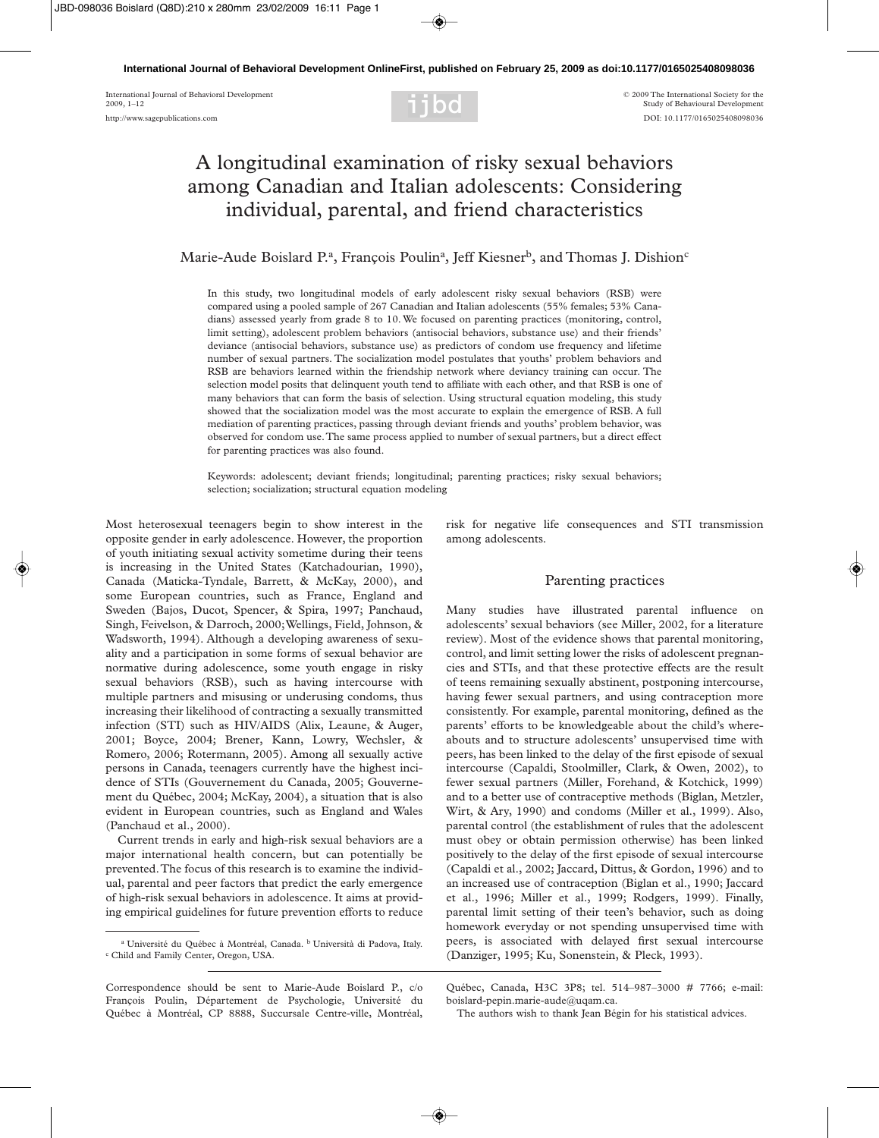International Journal of Behavioral Development 2009, 1–12 http://www.sagepublications.com

# iibd

## A longitudinal examination of risky sexual behaviors among Canadian and Italian adolescents: Considering individual, parental, and friend characteristics

## Marie-Aude Boislard P.<sup>a</sup>, François Poulin<sup>a</sup>, Jeff Kiesner<sup>b</sup>, and Thomas J. Dishion<sup>c</sup>

In this study, two longitudinal models of early adolescent risky sexual behaviors (RSB) were compared using a pooled sample of 267 Canadian and Italian adolescents (55% females; 53% Canadians) assessed yearly from grade 8 to 10. We focused on parenting practices (monitoring, control, limit setting), adolescent problem behaviors (antisocial behaviors, substance use) and their friends' deviance (antisocial behaviors, substance use) as predictors of condom use frequency and lifetime number of sexual partners. The socialization model postulates that youths' problem behaviors and RSB are behaviors learned within the friendship network where deviancy training can occur. The selection model posits that delinquent youth tend to affiliate with each other, and that RSB is one of many behaviors that can form the basis of selection. Using structural equation modeling, this study showed that the socialization model was the most accurate to explain the emergence of RSB. A full mediation of parenting practices, passing through deviant friends and youths' problem behavior, was observed for condom use. The same process applied to number of sexual partners, but a direct effect for parenting practices was also found.

Keywords: adolescent; deviant friends; longitudinal; parenting practices; risky sexual behaviors; selection; socialization; structural equation modeling

Most heterosexual teenagers begin to show interest in the opposite gender in early adolescence. However, the proportion of youth initiating sexual activity sometime during their teens is increasing in the United States (Katchadourian, 1990), Canada (Maticka-Tyndale, Barrett, & McKay, 2000), and some European countries, such as France, England and Sweden (Bajos, Ducot, Spencer, & Spira, 1997; Panchaud, Singh, Feivelson, & Darroch, 2000; Wellings, Field, Johnson, & Wadsworth, 1994). Although a developing awareness of sexuality and a participation in some forms of sexual behavior are normative during adolescence, some youth engage in risky sexual behaviors (RSB), such as having intercourse with multiple partners and misusing or underusing condoms, thus increasing their likelihood of contracting a sexually transmitted infection (STI) such as HIV/AIDS (Alix, Leaune, & Auger, 2001; Boyce, 2004; Brener, Kann, Lowry, Wechsler, & Romero, 2006; Rotermann, 2005). Among all sexually active persons in Canada, teenagers currently have the highest incidence of STIs (Gouvernement du Canada, 2005; Gouvernement du Québec, 2004; McKay, 2004), a situation that is also evident in European countries, such as England and Wales (Panchaud et al., 2000).

Current trends in early and high-risk sexual behaviors are a major international health concern, but can potentially be prevented. The focus of this research is to examine the individual, parental and peer factors that predict the early emergence of high-risk sexual behaviors in adolescence. It aims at providing empirical guidelines for future prevention efforts to reduce

Correspondence should be sent to Marie-Aude Boislard P., c/o François Poulin, Département de Psychologie, Université du Québec à Montréal, CP 8888, Succursale Centre-ville, Montréal, risk for negative life consequences and STI transmission among adolescents.

## Parenting practices

Many studies have illustrated parental influence on adolescents' sexual behaviors (see Miller, 2002, for a literature review). Most of the evidence shows that parental monitoring, control, and limit setting lower the risks of adolescent pregnancies and STIs, and that these protective effects are the result of teens remaining sexually abstinent, postponing intercourse, having fewer sexual partners, and using contraception more consistently. For example, parental monitoring, defined as the parents' efforts to be knowledgeable about the child's whereabouts and to structure adolescents' unsupervised time with peers, has been linked to the delay of the first episode of sexual intercourse (Capaldi, Stoolmiller, Clark, & Owen, 2002), to fewer sexual partners (Miller, Forehand, & Kotchick, 1999) and to a better use of contraceptive methods (Biglan, Metzler, Wirt, & Ary, 1990) and condoms (Miller et al., 1999). Also, parental control (the establishment of rules that the adolescent must obey or obtain permission otherwise) has been linked positively to the delay of the first episode of sexual intercourse (Capaldi et al., 2002; Jaccard, Dittus, & Gordon, 1996) and to an increased use of contraception (Biglan et al., 1990; Jaccard et al., 1996; Miller et al., 1999; Rodgers, 1999). Finally, parental limit setting of their teen's behavior, such as doing homework everyday or not spending unsupervised time with peers, is associated with delayed first sexual intercourse (Danziger, 1995; Ku, Sonenstein, & Pleck, 1993).

<sup>a</sup> Université du Québec à Montréal, Canada. b Università di Padova, Italy. <sup>c</sup> Child and Family Center, Oregon, USA.

Québec, Canada, H3C 3P8; tel. 514–987–3000 # 7766; e-mail: boislard-pepin.marie-aude@uqam.ca.

The authors wish to thank Jean Bégin for his statistical advices.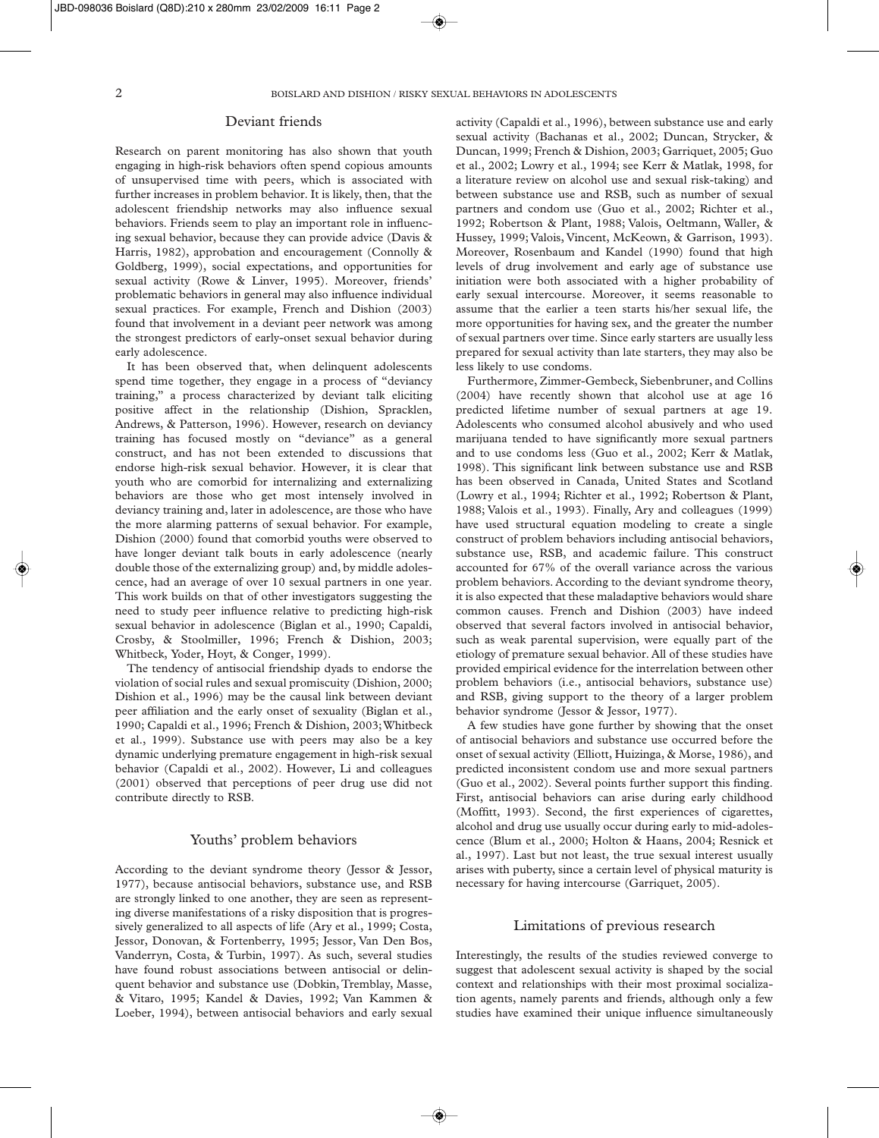#### Deviant friends

Research on parent monitoring has also shown that youth engaging in high-risk behaviors often spend copious amounts of unsupervised time with peers, which is associated with further increases in problem behavior. It is likely, then, that the adolescent friendship networks may also influence sexual behaviors. Friends seem to play an important role in influencing sexual behavior, because they can provide advice (Davis & Harris, 1982), approbation and encouragement (Connolly & Goldberg, 1999), social expectations, and opportunities for sexual activity (Rowe & Linver, 1995). Moreover, friends' problematic behaviors in general may also influence individual sexual practices. For example, French and Dishion (2003) found that involvement in a deviant peer network was among the strongest predictors of early-onset sexual behavior during early adolescence.

It has been observed that, when delinquent adolescents spend time together, they engage in a process of "deviancy training," a process characterized by deviant talk eliciting positive affect in the relationship (Dishion, Spracklen, Andrews, & Patterson, 1996). However, research on deviancy training has focused mostly on "deviance" as a general construct, and has not been extended to discussions that endorse high-risk sexual behavior. However, it is clear that youth who are comorbid for internalizing and externalizing behaviors are those who get most intensely involved in deviancy training and, later in adolescence, are those who have the more alarming patterns of sexual behavior. For example, Dishion (2000) found that comorbid youths were observed to have longer deviant talk bouts in early adolescence (nearly double those of the externalizing group) and, by middle adolescence, had an average of over 10 sexual partners in one year. This work builds on that of other investigators suggesting the need to study peer influence relative to predicting high-risk sexual behavior in adolescence (Biglan et al., 1990; Capaldi, Crosby, & Stoolmiller, 1996; French & Dishion, 2003; Whitbeck, Yoder, Hoyt, & Conger, 1999).

The tendency of antisocial friendship dyads to endorse the violation of social rules and sexual promiscuity (Dishion, 2000; Dishion et al., 1996) may be the causal link between deviant peer affiliation and the early onset of sexuality (Biglan et al., 1990; Capaldi et al., 1996; French & Dishion, 2003; Whitbeck et al., 1999). Substance use with peers may also be a key dynamic underlying premature engagement in high-risk sexual behavior (Capaldi et al., 2002). However, Li and colleagues (2001) observed that perceptions of peer drug use did not contribute directly to RSB.

## Youths' problem behaviors

According to the deviant syndrome theory (Jessor & Jessor, 1977), because antisocial behaviors, substance use, and RSB are strongly linked to one another, they are seen as representing diverse manifestations of a risky disposition that is progressively generalized to all aspects of life (Ary et al., 1999; Costa, Jessor, Donovan, & Fortenberry, 1995; Jessor, Van Den Bos, Vanderryn, Costa, & Turbin, 1997). As such, several studies have found robust associations between antisocial or delinquent behavior and substance use (Dobkin, Tremblay, Masse, & Vitaro, 1995; Kandel & Davies, 1992; Van Kammen & Loeber, 1994), between antisocial behaviors and early sexual activity (Capaldi et al., 1996), between substance use and early sexual activity (Bachanas et al., 2002; Duncan, Strycker, & Duncan, 1999; French & Dishion, 2003; Garriquet, 2005; Guo et al., 2002; Lowry et al., 1994; see Kerr & Matlak, 1998, for a literature review on alcohol use and sexual risk-taking) and between substance use and RSB, such as number of sexual partners and condom use (Guo et al., 2002; Richter et al., 1992; Robertson & Plant, 1988; Valois, Oeltmann, Waller, & Hussey, 1999; Valois, Vincent, McKeown, & Garrison, 1993). Moreover, Rosenbaum and Kandel (1990) found that high levels of drug involvement and early age of substance use initiation were both associated with a higher probability of early sexual intercourse. Moreover, it seems reasonable to assume that the earlier a teen starts his/her sexual life, the more opportunities for having sex, and the greater the number of sexual partners over time. Since early starters are usually less prepared for sexual activity than late starters, they may also be less likely to use condoms.

Furthermore, Zimmer-Gembeck, Siebenbruner, and Collins (2004) have recently shown that alcohol use at age 16 predicted lifetime number of sexual partners at age 19. Adolescents who consumed alcohol abusively and who used marijuana tended to have significantly more sexual partners and to use condoms less (Guo et al., 2002; Kerr & Matlak, 1998). This significant link between substance use and RSB has been observed in Canada, United States and Scotland (Lowry et al., 1994; Richter et al., 1992; Robertson & Plant, 1988; Valois et al., 1993). Finally, Ary and colleagues (1999) have used structural equation modeling to create a single construct of problem behaviors including antisocial behaviors, substance use, RSB, and academic failure. This construct accounted for 67% of the overall variance across the various problem behaviors. According to the deviant syndrome theory, it is also expected that these maladaptive behaviors would share common causes. French and Dishion (2003) have indeed observed that several factors involved in antisocial behavior, such as weak parental supervision, were equally part of the etiology of premature sexual behavior. All of these studies have provided empirical evidence for the interrelation between other problem behaviors (i.e., antisocial behaviors, substance use) and RSB, giving support to the theory of a larger problem behavior syndrome (Jessor & Jessor, 1977).

A few studies have gone further by showing that the onset of antisocial behaviors and substance use occurred before the onset of sexual activity (Elliott, Huizinga, & Morse, 1986), and predicted inconsistent condom use and more sexual partners (Guo et al., 2002). Several points further support this finding. First, antisocial behaviors can arise during early childhood (Moffitt, 1993). Second, the first experiences of cigarettes, alcohol and drug use usually occur during early to mid-adolescence (Blum et al., 2000; Holton & Haans, 2004; Resnick et al., 1997). Last but not least, the true sexual interest usually arises with puberty, since a certain level of physical maturity is necessary for having intercourse (Garriquet, 2005).

## Limitations of previous research

Interestingly, the results of the studies reviewed converge to suggest that adolescent sexual activity is shaped by the social context and relationships with their most proximal socialization agents, namely parents and friends, although only a few studies have examined their unique influence simultaneously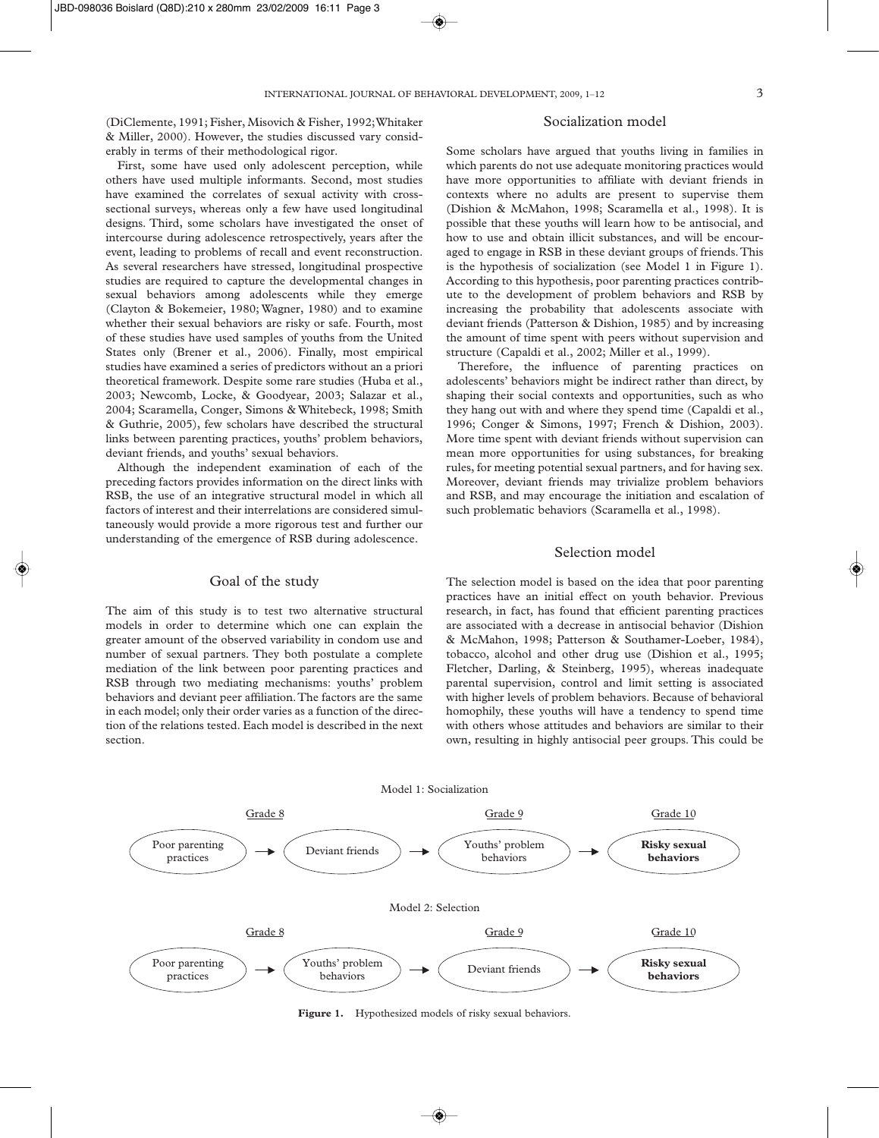(DiClemente, 1991; Fisher, Misovich & Fisher, 1992; Whitaker & Miller, 2000). However, the studies discussed vary considerably in terms of their methodological rigor.

First, some have used only adolescent perception, while others have used multiple informants. Second, most studies have examined the correlates of sexual activity with crosssectional surveys, whereas only a few have used longitudinal designs. Third, some scholars have investigated the onset of intercourse during adolescence retrospectively, years after the event, leading to problems of recall and event reconstruction. As several researchers have stressed, longitudinal prospective studies are required to capture the developmental changes in sexual behaviors among adolescents while they emerge (Clayton & Bokemeier, 1980; Wagner, 1980) and to examine whether their sexual behaviors are risky or safe. Fourth, most of these studies have used samples of youths from the United States only (Brener et al., 2006). Finally, most empirical studies have examined a series of predictors without an a priori theoretical framework. Despite some rare studies (Huba et al., 2003; Newcomb, Locke, & Goodyear, 2003; Salazar et al., 2004; Scaramella, Conger, Simons & Whitebeck, 1998; Smith & Guthrie, 2005), few scholars have described the structural links between parenting practices, youths' problem behaviors, deviant friends, and youths' sexual behaviors.

Although the independent examination of each of the preceding factors provides information on the direct links with RSB, the use of an integrative structural model in which all factors of interest and their interrelations are considered simultaneously would provide a more rigorous test and further our understanding of the emergence of RSB during adolescence.

## Goal of the study

The aim of this study is to test two alternative structural models in order to determine which one can explain the greater amount of the observed variability in condom use and number of sexual partners. They both postulate a complete mediation of the link between poor parenting practices and RSB through two mediating mechanisms: youths' problem behaviors and deviant peer affiliation. The factors are the same in each model; only their order varies as a function of the direction of the relations tested. Each model is described in the next section.

### Socialization model

Some scholars have argued that youths living in families in which parents do not use adequate monitoring practices would have more opportunities to affiliate with deviant friends in contexts where no adults are present to supervise them (Dishion & McMahon, 1998; Scaramella et al., 1998). It is possible that these youths will learn how to be antisocial, and how to use and obtain illicit substances, and will be encouraged to engage in RSB in these deviant groups of friends. This is the hypothesis of socialization (see Model 1 in Figure 1). According to this hypothesis, poor parenting practices contribute to the development of problem behaviors and RSB by increasing the probability that adolescents associate with deviant friends (Patterson & Dishion, 1985) and by increasing the amount of time spent with peers without supervision and structure (Capaldi et al., 2002; Miller et al., 1999).

Therefore, the influence of parenting practices on adolescents' behaviors might be indirect rather than direct, by shaping their social contexts and opportunities, such as who they hang out with and where they spend time (Capaldi et al., 1996; Conger & Simons, 1997; French & Dishion, 2003). More time spent with deviant friends without supervision can mean more opportunities for using substances, for breaking rules, for meeting potential sexual partners, and for having sex. Moreover, deviant friends may trivialize problem behaviors and RSB, and may encourage the initiation and escalation of such problematic behaviors (Scaramella et al., 1998).

## Selection model

The selection model is based on the idea that poor parenting practices have an initial effect on youth behavior. Previous research, in fact, has found that efficient parenting practices are associated with a decrease in antisocial behavior (Dishion & McMahon, 1998; Patterson & Southamer-Loeber, 1984), tobacco, alcohol and other drug use (Dishion et al., 1995; Fletcher, Darling, & Steinberg, 1995), whereas inadequate parental supervision, control and limit setting is associated with higher levels of problem behaviors. Because of behavioral homophily, these youths will have a tendency to spend time with others whose attitudes and behaviors are similar to their own, resulting in highly antisocial peer groups. This could be



Figure 1. Hypothesized models of risky sexual behaviors.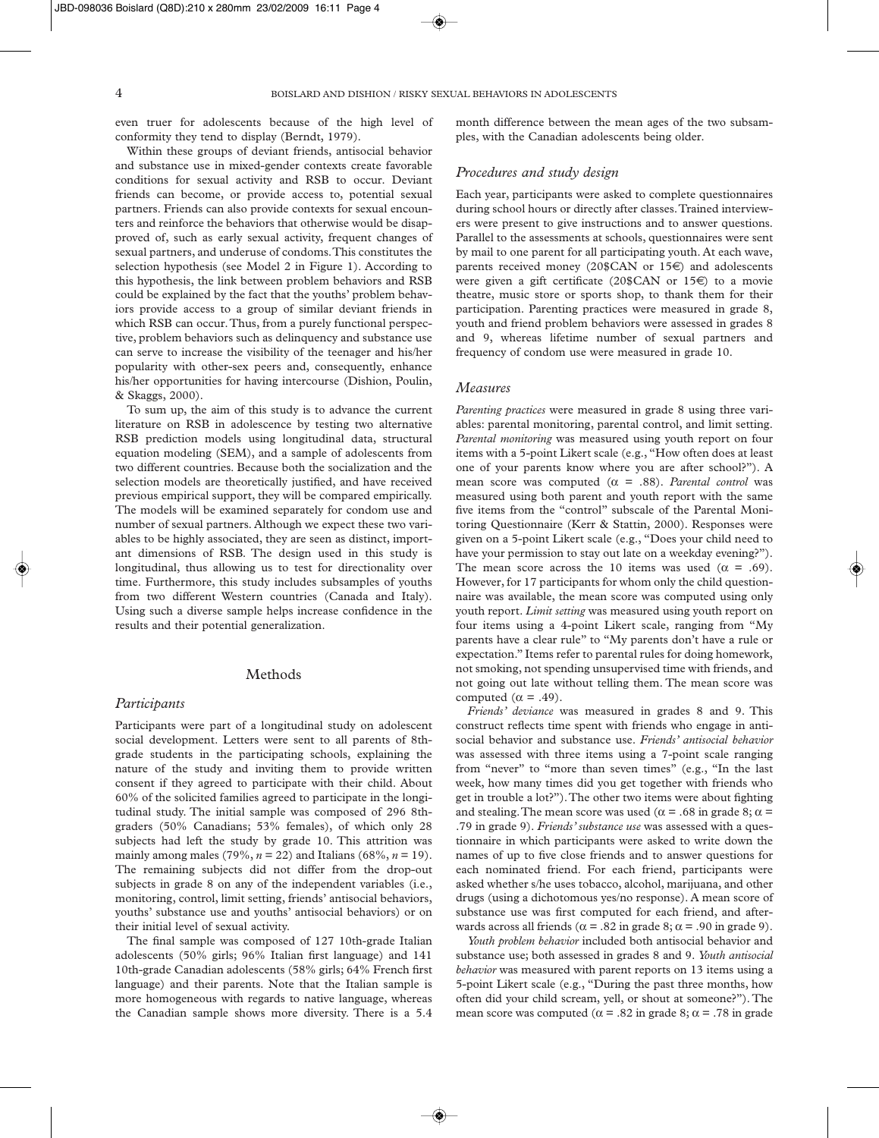even truer for adolescents because of the high level of conformity they tend to display (Berndt, 1979).

Within these groups of deviant friends, antisocial behavior and substance use in mixed-gender contexts create favorable conditions for sexual activity and RSB to occur. Deviant friends can become, or provide access to, potential sexual partners. Friends can also provide contexts for sexual encounters and reinforce the behaviors that otherwise would be disapproved of, such as early sexual activity, frequent changes of sexual partners, and underuse of condoms. This constitutes the selection hypothesis (see Model 2 in Figure 1). According to this hypothesis, the link between problem behaviors and RSB could be explained by the fact that the youths' problem behaviors provide access to a group of similar deviant friends in which RSB can occur. Thus, from a purely functional perspective, problem behaviors such as delinquency and substance use can serve to increase the visibility of the teenager and his/her popularity with other-sex peers and, consequently, enhance his/her opportunities for having intercourse (Dishion, Poulin, & Skaggs, 2000).

To sum up, the aim of this study is to advance the current literature on RSB in adolescence by testing two alternative RSB prediction models using longitudinal data, structural equation modeling (SEM), and a sample of adolescents from two different countries. Because both the socialization and the selection models are theoretically justified, and have received previous empirical support, they will be compared empirically. The models will be examined separately for condom use and number of sexual partners. Although we expect these two variables to be highly associated, they are seen as distinct, important dimensions of RSB. The design used in this study is longitudinal, thus allowing us to test for directionality over time. Furthermore, this study includes subsamples of youths from two different Western countries (Canada and Italy). Using such a diverse sample helps increase confidence in the results and their potential generalization.

## Methods

## *Participants*

Participants were part of a longitudinal study on adolescent social development. Letters were sent to all parents of 8thgrade students in the participating schools, explaining the nature of the study and inviting them to provide written consent if they agreed to participate with their child. About 60% of the solicited families agreed to participate in the longitudinal study. The initial sample was composed of 296 8thgraders (50% Canadians; 53% females), of which only 28 subjects had left the study by grade 10. This attrition was mainly among males (79%,  $n = 22$ ) and Italians (68%,  $n = 19$ ). The remaining subjects did not differ from the drop-out subjects in grade 8 on any of the independent variables (i.e., monitoring, control, limit setting, friends' antisocial behaviors, youths' substance use and youths' antisocial behaviors) or on their initial level of sexual activity.

The final sample was composed of 127 10th-grade Italian adolescents (50% girls; 96% Italian first language) and 141 10th-grade Canadian adolescents (58% girls; 64% French first language) and their parents. Note that the Italian sample is more homogeneous with regards to native language, whereas the Canadian sample shows more diversity. There is a 5.4 month difference between the mean ages of the two subsamples, with the Canadian adolescents being older.

## *Procedures and study design*

Each year, participants were asked to complete questionnaires during school hours or directly after classes. Trained interviewers were present to give instructions and to answer questions. Parallel to the assessments at schools, questionnaires were sent by mail to one parent for all participating youth. At each wave, parents received money (20\$CAN or 15€) and adolescents were given a gift certificate (20\$CAN or 15€) to a movie theatre, music store or sports shop, to thank them for their participation. Parenting practices were measured in grade 8, youth and friend problem behaviors were assessed in grades 8 and 9, whereas lifetime number of sexual partners and frequency of condom use were measured in grade 10.

## *Measures*

*Parenting practices* were measured in grade 8 using three variables: parental monitoring, parental control, and limit setting. *Parental monitoring* was measured using youth report on four items with a 5-point Likert scale (e.g., "How often does at least one of your parents know where you are after school?"). A mean score was computed  $(\alpha = .88)$ . *Parental control* was measured using both parent and youth report with the same five items from the "control" subscale of the Parental Monitoring Questionnaire (Kerr & Stattin, 2000). Responses were given on a 5-point Likert scale (e.g., "Does your child need to have your permission to stay out late on a weekday evening?"). The mean score across the 10 items was used ( $\alpha = .69$ ). However, for 17 participants for whom only the child questionnaire was available, the mean score was computed using only youth report. *Limit setting* was measured using youth report on four items using a 4-point Likert scale, ranging from "My parents have a clear rule" to "My parents don't have a rule or expectation." Items refer to parental rules for doing homework, not smoking, not spending unsupervised time with friends, and not going out late without telling them. The mean score was computed ( $\alpha$  = .49).

*Friends' deviance* was measured in grades 8 and 9. This construct reflects time spent with friends who engage in antisocial behavior and substance use. *Friends' antisocial behavior* was assessed with three items using a 7-point scale ranging from "never" to "more than seven times" (e.g., "In the last week, how many times did you get together with friends who get in trouble a lot?"). The other two items were about fighting and stealing. The mean score was used ( $\alpha$  = .68 in grade 8;  $\alpha$  = .79 in grade 9). *Friends' substance use* was assessed with a questionnaire in which participants were asked to write down the names of up to five close friends and to answer questions for each nominated friend. For each friend, participants were asked whether s/he uses tobacco, alcohol, marijuana, and other drugs (using a dichotomous yes/no response). A mean score of substance use was first computed for each friend, and afterwards across all friends ( $\alpha$  = .82 in grade 8;  $\alpha$  = .90 in grade 9).

*Youth problem behavior* included both antisocial behavior and substance use; both assessed in grades 8 and 9. *Youth antisocial behavior* was measured with parent reports on 13 items using a 5-point Likert scale (e.g., "During the past three months, how often did your child scream, yell, or shout at someone?"). The mean score was computed ( $\alpha$  = .82 in grade 8;  $\alpha$  = .78 in grade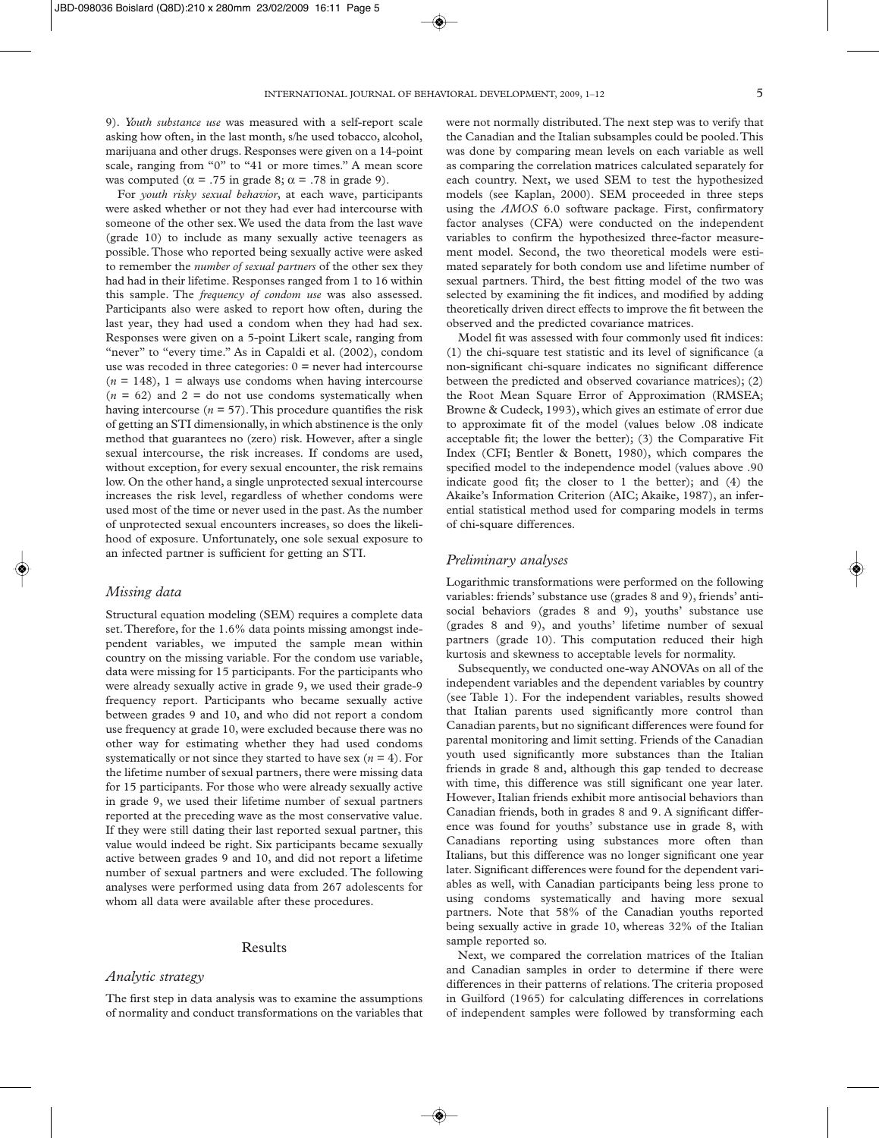9). *Youth substance use* was measured with a self-report scale asking how often, in the last month, s/he used tobacco, alcohol, marijuana and other drugs. Responses were given on a 14-point scale, ranging from "0" to "41 or more times." A mean score was computed ( $\alpha$  = .75 in grade 8;  $\alpha$  = .78 in grade 9).

For *youth risky sexual behavior*, at each wave, participants were asked whether or not they had ever had intercourse with someone of the other sex. We used the data from the last wave (grade 10) to include as many sexually active teenagers as possible. Those who reported being sexually active were asked to remember the *number of sexual partners* of the other sex they had had in their lifetime. Responses ranged from 1 to 16 within this sample. The *frequency of condom use* was also assessed. Participants also were asked to report how often, during the last year, they had used a condom when they had had sex. Responses were given on a 5-point Likert scale, ranging from "never" to "every time." As in Capaldi et al. (2002), condom use was recoded in three categories:  $0 =$  never had intercourse  $(n = 148)$ ,  $1 =$  always use condoms when having intercourse  $(n = 62)$  and  $2 =$  do not use condoms systematically when having intercourse  $(n = 57)$ . This procedure quantifies the risk of getting an STI dimensionally, in which abstinence is the only method that guarantees no (zero) risk. However, after a single sexual intercourse, the risk increases. If condoms are used, without exception, for every sexual encounter, the risk remains low. On the other hand, a single unprotected sexual intercourse increases the risk level, regardless of whether condoms were used most of the time or never used in the past. As the number of unprotected sexual encounters increases, so does the likelihood of exposure. Unfortunately, one sole sexual exposure to an infected partner is sufficient for getting an STI.

## *Missing data*

Structural equation modeling (SEM) requires a complete data set. Therefore, for the 1.6% data points missing amongst independent variables, we imputed the sample mean within country on the missing variable. For the condom use variable, data were missing for 15 participants. For the participants who were already sexually active in grade 9, we used their grade-9 frequency report. Participants who became sexually active between grades 9 and 10, and who did not report a condom use frequency at grade 10, were excluded because there was no other way for estimating whether they had used condoms systematically or not since they started to have sex  $(n = 4)$ . For the lifetime number of sexual partners, there were missing data for 15 participants. For those who were already sexually active in grade 9, we used their lifetime number of sexual partners reported at the preceding wave as the most conservative value. If they were still dating their last reported sexual partner, this value would indeed be right. Six participants became sexually active between grades 9 and 10, and did not report a lifetime number of sexual partners and were excluded. The following analyses were performed using data from 267 adolescents for whom all data were available after these procedures.

#### Results

## *Analytic strategy*

The first step in data analysis was to examine the assumptions of normality and conduct transformations on the variables that were not normally distributed. The next step was to verify that the Canadian and the Italian subsamples could be pooled. This was done by comparing mean levels on each variable as well as comparing the correlation matrices calculated separately for each country. Next, we used SEM to test the hypothesized models (see Kaplan, 2000). SEM proceeded in three steps using the *AMOS* 6.0 software package. First, confirmatory factor analyses (CFA) were conducted on the independent variables to confirm the hypothesized three-factor measurement model. Second, the two theoretical models were estimated separately for both condom use and lifetime number of sexual partners. Third, the best fitting model of the two was selected by examining the fit indices, and modified by adding theoretically driven direct effects to improve the fit between the observed and the predicted covariance matrices.

Model fit was assessed with four commonly used fit indices: (1) the chi-square test statistic and its level of significance (a non-significant chi-square indicates no significant difference between the predicted and observed covariance matrices); (2) the Root Mean Square Error of Approximation (RMSEA; Browne & Cudeck, 1993), which gives an estimate of error due to approximate fit of the model (values below .08 indicate acceptable fit; the lower the better); (3) the Comparative Fit Index (CFI; Bentler & Bonett, 1980), which compares the specified model to the independence model (values above .90 indicate good fit; the closer to 1 the better); and (4) the Akaike's Information Criterion (AIC; Akaike, 1987), an inferential statistical method used for comparing models in terms of chi-square differences.

## *Preliminary analyses*

Logarithmic transformations were performed on the following variables: friends' substance use (grades 8 and 9), friends' antisocial behaviors (grades 8 and 9), youths' substance use (grades 8 and 9), and youths' lifetime number of sexual partners (grade 10). This computation reduced their high kurtosis and skewness to acceptable levels for normality.

Subsequently, we conducted one-way ANOVAs on all of the independent variables and the dependent variables by country (see Table 1). For the independent variables, results showed that Italian parents used significantly more control than Canadian parents, but no significant differences were found for parental monitoring and limit setting. Friends of the Canadian youth used significantly more substances than the Italian friends in grade 8 and, although this gap tended to decrease with time, this difference was still significant one year later. However, Italian friends exhibit more antisocial behaviors than Canadian friends, both in grades 8 and 9. A significant difference was found for youths' substance use in grade 8, with Canadians reporting using substances more often than Italians, but this difference was no longer significant one year later. Significant differences were found for the dependent variables as well, with Canadian participants being less prone to using condoms systematically and having more sexual partners. Note that 58% of the Canadian youths reported being sexually active in grade 10, whereas 32% of the Italian sample reported so.

Next, we compared the correlation matrices of the Italian and Canadian samples in order to determine if there were differences in their patterns of relations. The criteria proposed in Guilford (1965) for calculating differences in correlations of independent samples were followed by transforming each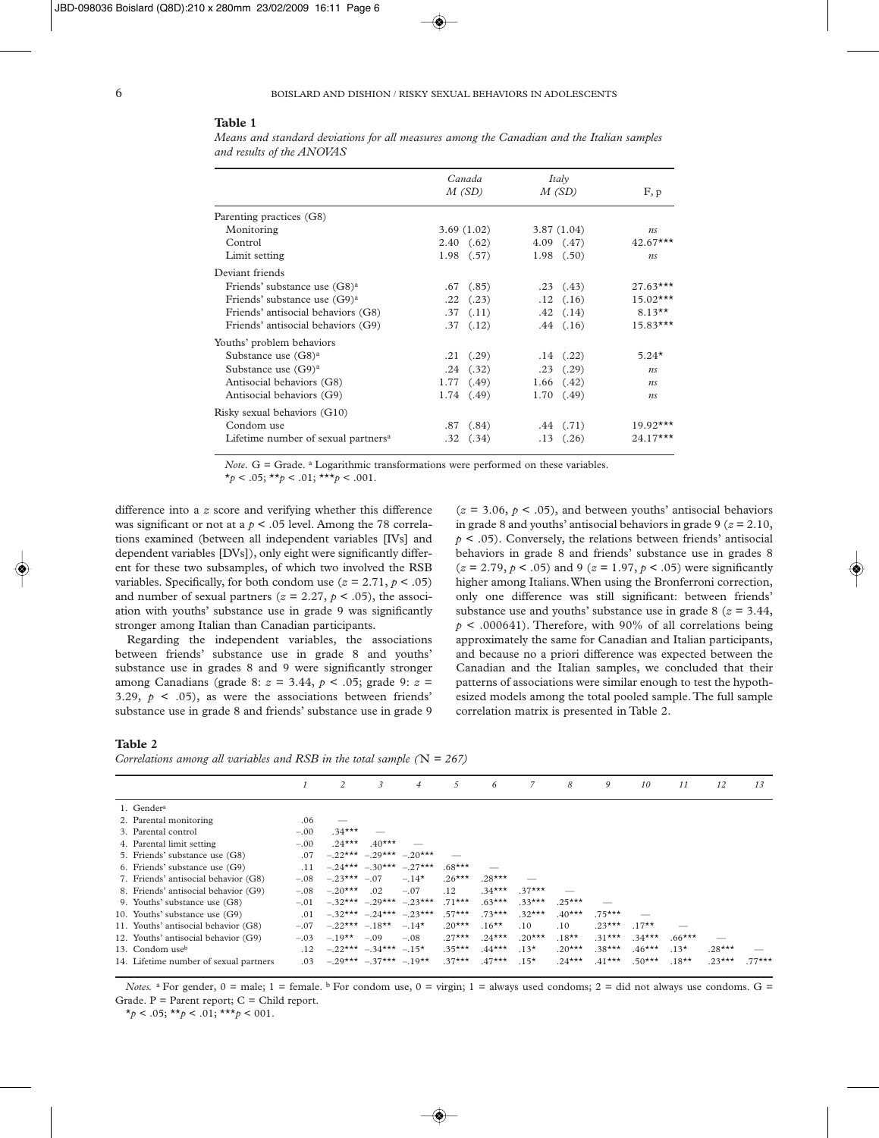## **Table 1**

*Means and standard deviations for all measures among the Canadian and the Italian samples and results of the ANOVAS*

|                                                 |     | Canada<br>M(SD) | Italy<br>M(SD)    | F, p           |  |
|-------------------------------------------------|-----|-----------------|-------------------|----------------|--|
| Parenting practices (G8)                        |     |                 |                   |                |  |
| Monitoring                                      |     | 3.69(1.02)      | 3.87(1.04)        | ns             |  |
| Control                                         |     | 2.40(62)        | $4.09$ $(.47)$    | $42.67***$     |  |
| Limit setting                                   |     | $1.98$ (.57)    | $1.98$ (.50)      | n <sub>s</sub> |  |
| Deviant friends                                 |     |                 |                   |                |  |
| Friends' substance use (G8) <sup>a</sup>        |     | $.67$ $(.85)$   | .23(.43)          | $27.63***$     |  |
| Friends' substance use $(G9)^a$                 |     | $.22$ $(.23)$   | $.12$ $(.16)$     | $15.02***$     |  |
| Friends' antisocial behaviors (G8)              |     | $.37$ $(.11)$   | $.42 \quad (.14)$ | $8.13**$       |  |
| Friends' antisocial behaviors (G9)              |     | .37(.12)        | .44(.16)          | $15.83***$     |  |
| Youths' problem behaviors                       |     |                 |                   |                |  |
| Substance use $(G8)^a$                          |     | .21(.29)        | $.14 \quad (.22)$ | $5.24*$        |  |
| Substance use $(G9)^a$                          |     | $.24$ $(.32)$   | $.23$ $(.29)$     | ns             |  |
| Antisocial behaviors (G8)                       |     | 1.77(0.49)      | $1.66$ $(.42)$    | ns             |  |
| Antisocial behaviors (G9)                       |     | 1.74(0.49)      | 1.70(0.49)        | ns             |  |
| Risky sexual behaviors (G10)                    |     |                 |                   |                |  |
| Condom use                                      |     | .87 (.84)       | .44(.71)          | $19.92***$     |  |
| Lifetime number of sexual partners <sup>a</sup> | .32 | (.34)           | .13(0.26)         | $24.17***$     |  |

*Note.* G = Grade. <sup>a</sup> Logarithmic transformations were performed on these variables.

 $\star_p$  < .05;  $\star\star_p$  < .01;  $\star\star\star_p$  < .001.

difference into a *z* score and verifying whether this difference was significant or not at a  $p < .05$  level. Among the 78 correlations examined (between all independent variables [IVs] and dependent variables [DVs]), only eight were significantly different for these two subsamples, of which two involved the RSB variables. Specifically, for both condom use  $(z = 2.71, p < .05)$ and number of sexual partners ( $z = 2.27$ ,  $p < .05$ ), the association with youths' substance use in grade 9 was significantly stronger among Italian than Canadian participants.

Regarding the independent variables, the associations between friends' substance use in grade 8 and youths' substance use in grades 8 and 9 were significantly stronger among Canadians (grade 8: *z* = 3.44, *p* < .05; grade 9: *z* = 3.29,  $p \leq .05$ , as were the associations between friends' substance use in grade 8 and friends' substance use in grade 9

## $(z = 3.06, p < .05)$ , and between youths' antisocial behaviors in grade 8 and youths' antisocial behaviors in grade 9 ( $z = 2.10$ ,  $p < .05$ ). Conversely, the relations between friends' antisocial behaviors in grade 8 and friends' substance use in grades 8 (*z* = 2.79, *p* < .05) and 9 (*z* = 1.97, *p* < .05) were significantly higher among Italians. When using the Bronferroni correction, only one difference was still significant: between friends' substance use and youths' substance use in grade  $8$  ( $z = 3.44$ ,  $p \lt 0.000641$ ). Therefore, with 90% of all correlations being approximately the same for Canadian and Italian participants, and because no a priori difference was expected between the Canadian and the Italian samples, we concluded that their patterns of associations were similar enough to test the hypothesized models among the total pooled sample. The full sample correlation matrix is presented in Table 2.

### **Table 2**

*Correlations among all variables and RSB in the total sample (*N *= 267)*

|                                        |         | 2                | 3                       | $\overline{4}$                      | 5        | 6        | 7        | 8        | 9        | 10       | 11       | 12       | 13      |
|----------------------------------------|---------|------------------|-------------------------|-------------------------------------|----------|----------|----------|----------|----------|----------|----------|----------|---------|
| 1. Gender <sup>a</sup>                 |         |                  |                         |                                     |          |          |          |          |          |          |          |          |         |
| 2. Parental monitoring                 | .06     |                  |                         |                                     |          |          |          |          |          |          |          |          |         |
| 3. Parental control                    | $-.00$  | $.34***$         |                         |                                     |          |          |          |          |          |          |          |          |         |
| 4. Parental limit setting              | $-.00$  | $.24***$         | $.40***$                |                                     |          |          |          |          |          |          |          |          |         |
| 5. Friends' substance use (G8)         | .07     |                  | $-.22***-.29***-.20***$ |                                     |          |          |          |          |          |          |          |          |         |
| 6. Friends' substance use (G9)         | .11     |                  |                         | $-.24***-.30***-.27***$             | $.68***$ |          |          |          |          |          |          |          |         |
| 7. Friends' antisocial behavior (G8)   | $-.08$  | $-.23***-.07$    |                         | $-.14*$                             | $.26***$ | $.28***$ |          |          |          |          |          |          |         |
| 8. Friends' antisocial behavior (G9)   | $-.08$  | $-.20***$        | .02                     | $-.07$                              | .12      | $.34***$ | $.37***$ |          |          |          |          |          |         |
| 9. Youths' substance use (G8)          | $-.01$  |                  |                         | $-32***$ $-29***$ $-23***$ $.71***$ |          | $63***$  | $33***$  | $25***$  |          |          |          |          |         |
| 10. Youths' substance use (G9)         | .01     |                  |                         | $-32***$ $-24***$ $-23***$ $.57***$ |          | $73***$  | $.32***$ | $.40***$ | $75***$  |          |          |          |         |
| 11. Youths' antisocial behavior (G8)   | $-.07$  | $-22***$ $-18**$ |                         | $-.14*$                             | $.20***$ | $.16***$ | .10      | .10      | $.23***$ | $.17***$ |          |          |         |
| 12. Youths' antisocial behavior (G9)   | $-.03$  | $-.19**$         | $-.09$                  | $-.08$                              | $.27***$ | $.24***$ | $.20***$ | $.18***$ | $.31***$ | $.34***$ | $.66***$ |          |         |
| 13. Condom use <sup>b</sup>            | $.12\,$ |                  | $-.22***-.34***-.15*$   |                                     | $.35***$ | $.44***$ | $.13*$   | $.20***$ | $.38***$ | $.46***$ | $.13*$   | $.28***$ |         |
| 14. Lifetime number of sexual partners | .03     |                  | $-.29***-.37***-.19**$  |                                     | $.37***$ | $.47***$ | $.15*$   | $.24***$ | $.41***$ | $.50***$ | $.18***$ | $.23***$ | $77***$ |
|                                        |         |                  |                         |                                     |          |          |          |          |          |          |          |          |         |

*Notes.* <sup>a</sup> For gender,  $0 =$  male;  $1 =$  female.  $\frac{1}{2}$  For condom use,  $0 =$  virgin;  $1 =$  always used condoms;  $2 =$  did not always use condoms.  $G =$ Grade.  $P =$  Parent report;  $C =$  Child report.

 $\star_p$  < .05;  $\star\star_p$  < .01;  $\star\star\star_p$  < 001.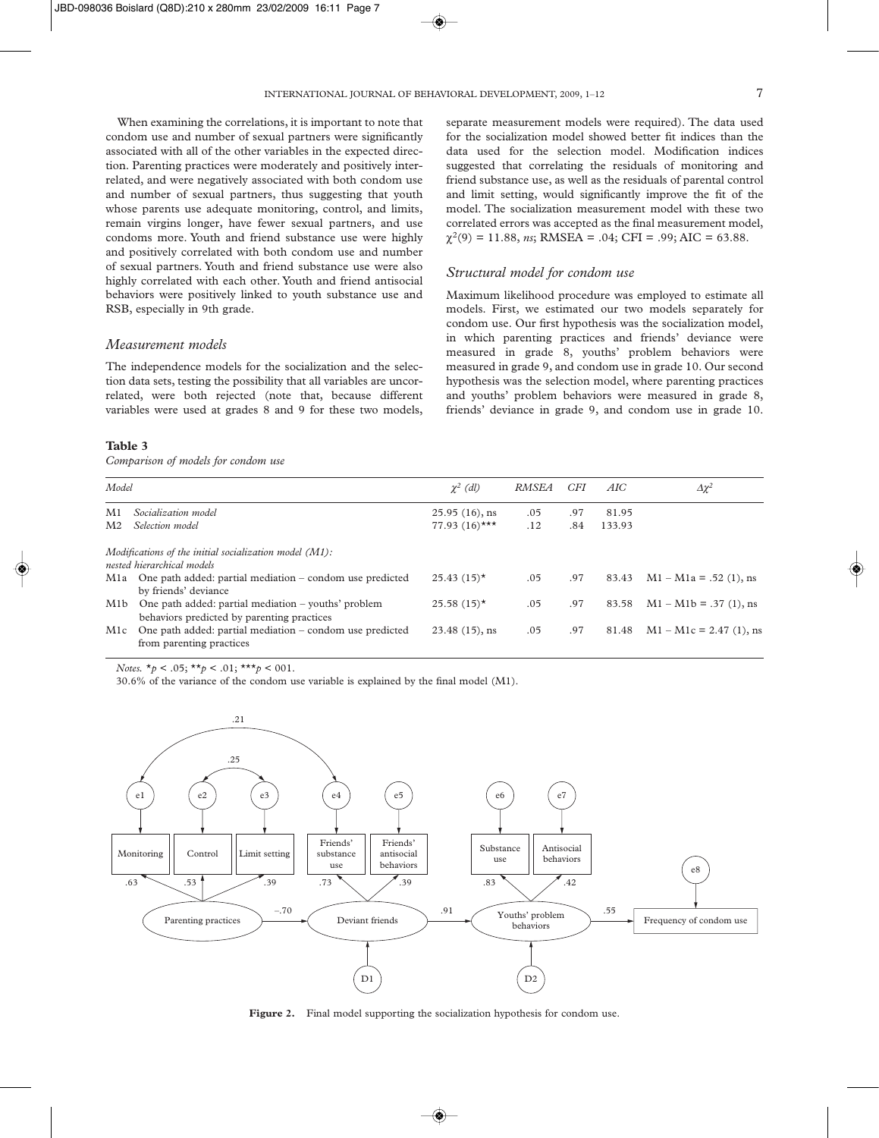When examining the correlations, it is important to note that condom use and number of sexual partners were significantly associated with all of the other variables in the expected direction. Parenting practices were moderately and positively interrelated, and were negatively associated with both condom use and number of sexual partners, thus suggesting that youth whose parents use adequate monitoring, control, and limits, remain virgins longer, have fewer sexual partners, and use condoms more. Youth and friend substance use were highly and positively correlated with both condom use and number of sexual partners. Youth and friend substance use were also highly correlated with each other. Youth and friend antisocial behaviors were positively linked to youth substance use and RSB, especially in 9th grade.

## *Measurement models*

The independence models for the socialization and the selection data sets, testing the possibility that all variables are uncorrelated, were both rejected (note that, because different variables were used at grades 8 and 9 for these two models,

## **Table 3**

*Comparison of models for condom use*

separate measurement models were required). The data used for the socialization model showed better fit indices than the data used for the selection model. Modification indices suggested that correlating the residuals of monitoring and friend substance use, as well as the residuals of parental control and limit setting, would significantly improve the fit of the model. The socialization measurement model with these two correlated errors was accepted as the final measurement model,  $\gamma^2(9) = 11.88$ , *ns*; RMSEA = .04; CFI = .99; AIC = 63.88.

## *Structural model for condom use*

Maximum likelihood procedure was employed to estimate all models. First, we estimated our two models separately for condom use. Our first hypothesis was the socialization model, in which parenting practices and friends' deviance were measured in grade 8, youths' problem behaviors were measured in grade 9, and condom use in grade 10. Our second hypothesis was the selection model, where parenting practices and youths' problem behaviors were measured in grade 8, friends' deviance in grade 9, and condom use in grade 10.

| Model |                                                                                                   | $\chi^2$ (dl)    | <i>RMSEA</i> | CFI | AIC    | $\Delta \chi^2$           |
|-------|---------------------------------------------------------------------------------------------------|------------------|--------------|-----|--------|---------------------------|
| M1    | Socialization model                                                                               | $25.95(16)$ , ns | .05          | .97 | 81.95  |                           |
| M2    | Selection model                                                                                   | $77.93(16)$ ***  | .12          | .84 | 133.93 |                           |
|       | Modifications of the initial socialization model (M1):<br>nested hierarchical models              |                  |              |     |        |                           |
| M1a   | One path added: partial mediation – condom use predicted<br>by friends' deviance                  | $25.43(15)^*$    | .05          | .97 | 83.43  | $M1 - M1a = .52(1)$ , ns  |
| M1b   | One path added: partial mediation – youths' problem<br>behaviors predicted by parenting practices | $25.58(15)^*$    | .05          | .97 | 83.58  | $M1 - M1b = .37(1)$ , ns  |
| M1c   | One path added: partial mediation $-$ condom use predicted<br>from parenting practices            | $23.48(15)$ , ns | .05          | .97 | 81.48  | $M1 - M1c = 2.47$ (1), ns |

*Notes.*  $*_{p} < .05$ ;  $*_{p} < .01$ ;  $*_{p} < .001$ .

30.6% of the variance of the condom use variable is explained by the final model (M1).



Figure 2. Final model supporting the socialization hypothesis for condom use.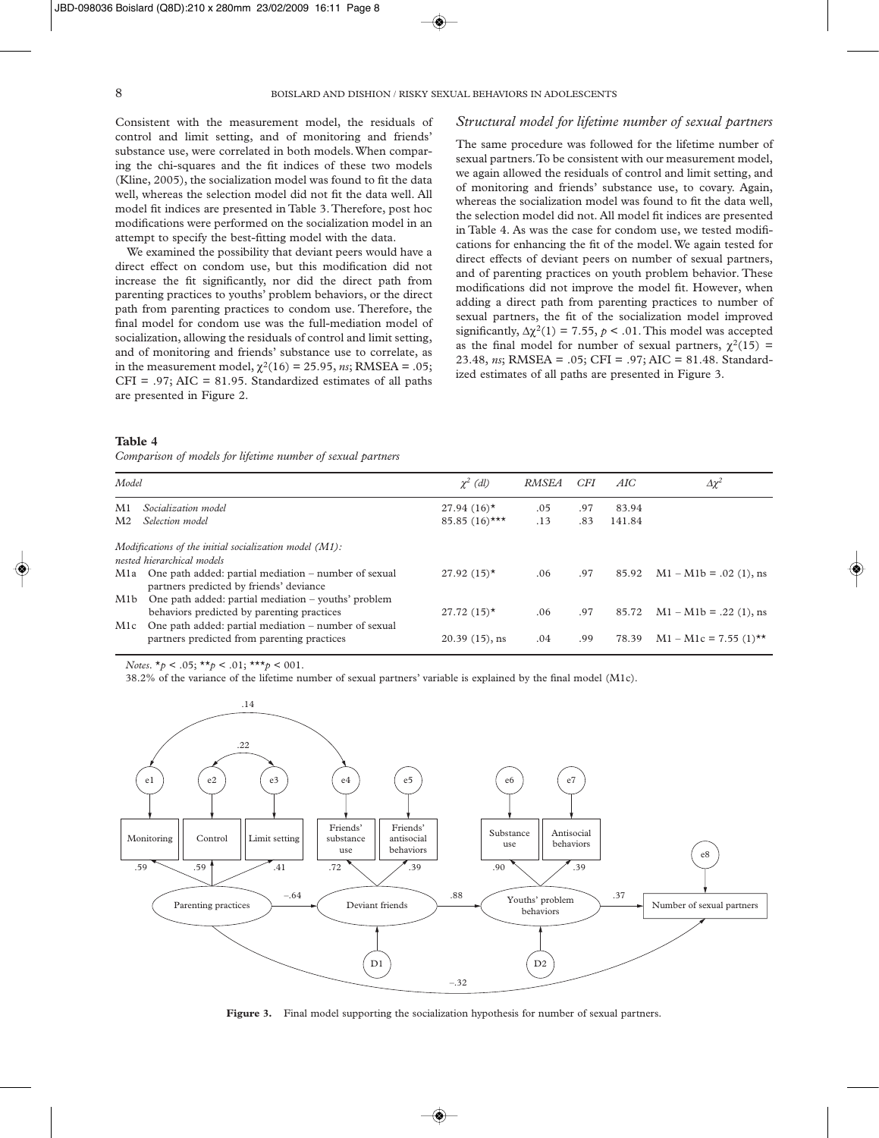Consistent with the measurement model, the residuals of control and limit setting, and of monitoring and friends' substance use, were correlated in both models. When comparing the chi-squares and the fit indices of these two models (Kline, 2005), the socialization model was found to fit the data well, whereas the selection model did not fit the data well. All model fit indices are presented in Table 3. Therefore, post hoc modifications were performed on the socialization model in an attempt to specify the best-fitting model with the data.

We examined the possibility that deviant peers would have a direct effect on condom use, but this modification did not increase the fit significantly, nor did the direct path from parenting practices to youths' problem behaviors, or the direct path from parenting practices to condom use. Therefore, the final model for condom use was the full-mediation model of socialization, allowing the residuals of control and limit setting, and of monitoring and friends' substance use to correlate, as in the measurement model,  $\chi^2(16) = 25.95$ , *ns*; RMSEA = .05;  $CFI = .97$ ;  $AIC = 81.95$ . Standardized estimates of all paths are presented in Figure 2.

## *Structural model for lifetime number of sexual partners*

The same procedure was followed for the lifetime number of sexual partners. To be consistent with our measurement model, we again allowed the residuals of control and limit setting, and of monitoring and friends' substance use, to covary. Again, whereas the socialization model was found to fit the data well, the selection model did not. All model fit indices are presented in Table 4. As was the case for condom use, we tested modifications for enhancing the fit of the model. We again tested for direct effects of deviant peers on number of sexual partners, and of parenting practices on youth problem behavior. These modifications did not improve the model fit. However, when adding a direct path from parenting practices to number of sexual partners, the fit of the socialization model improved significantly,  $\Delta \gamma^2(1) = 7.55$ ,  $\rho < .01$ . This model was accepted as the final model for number of sexual partners,  $\gamma^2(15)$  = 23.48, *ns*; RMSEA = .05; CFI = .97; AIC = 81.48. Standardized estimates of all paths are presented in Figure 3.

## **Table 4**

*Comparison of models for lifetime number of sexual partners*

| Model                      |                                                                                                     | $\chi^2$ (dl)    | <b>RMSEA</b> | <b>CFI</b> | AIC    | $\Delta \chi^2$                     |
|----------------------------|-----------------------------------------------------------------------------------------------------|------------------|--------------|------------|--------|-------------------------------------|
| M1                         | Socialization model                                                                                 | $27.94(16)$ *    | .05          | .97        | 83.94  |                                     |
| M <sub>2</sub>             | Selection model                                                                                     | $85.85(16)$ ***  | .13          | .83        | 141.84 |                                     |
| nested hierarchical models | Modifications of the initial socialization model (M1):                                              |                  |              |            |        |                                     |
| M1a                        | One path added: partial mediation – number of sexual<br>partners predicted by friends' deviance     | $27.92(15)^*$    | .06          | .97        |        | 85.92 $M1 - M1b = .02$ (1), ns      |
| M1b                        | One path added: partial mediation – youths' problem                                                 |                  |              |            |        |                                     |
|                            | behaviors predicted by parenting practices                                                          | $27.72(15)^*$    | .06          | .97        |        | 85.72 $M1 - M1b = .22 (1)$ , ns     |
| M1c                        | One path added: partial mediation – number of sexual<br>partners predicted from parenting practices | $20.39(15)$ , ns | .04          | .99        | 78.39  | $M1 - M1c = 7.55 (1)$ <sup>**</sup> |

*Notes.*  $*_{p}$  < .05;  $*_{p}$  < .01;  $*_{p}$  < 001.

38.2% of the variance of the lifetime number of sexual partners' variable is explained by the final model (M1c).



Figure 3. Final model supporting the socialization hypothesis for number of sexual partners.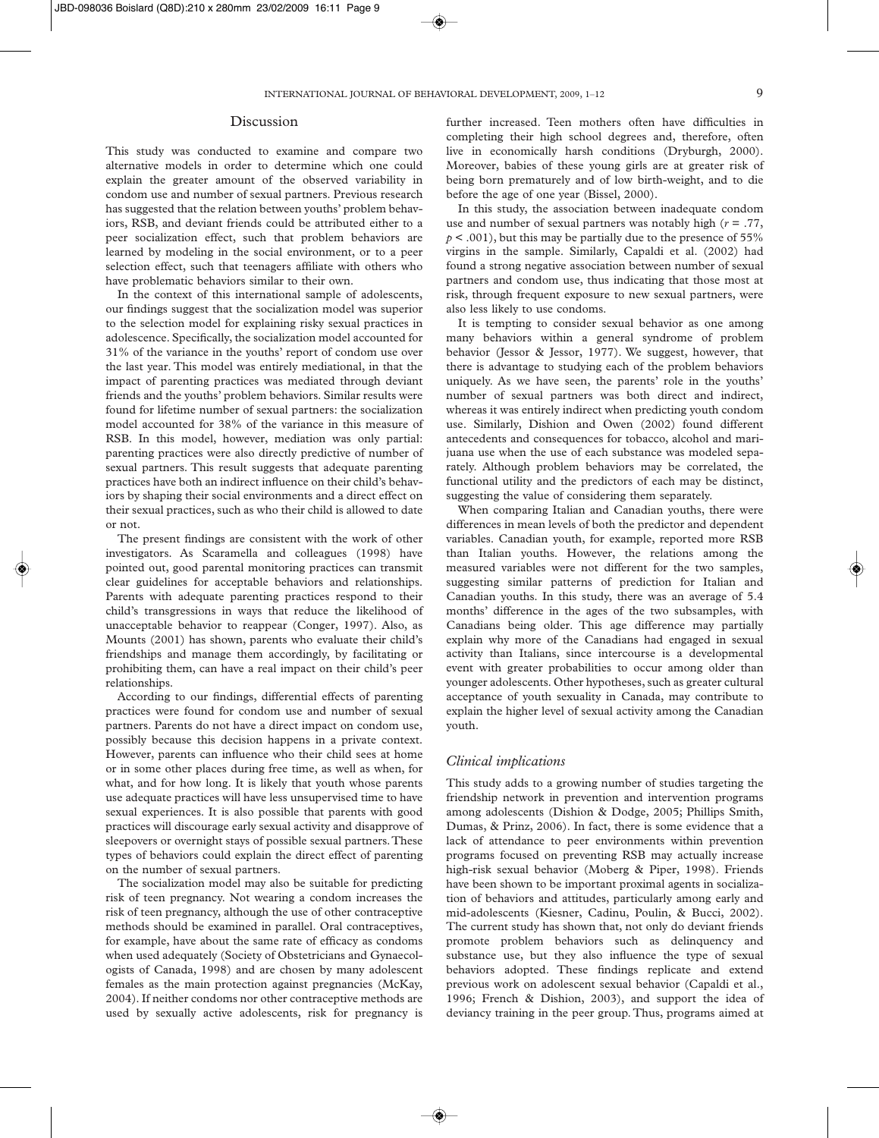## Discussion

This study was conducted to examine and compare two alternative models in order to determine which one could explain the greater amount of the observed variability in condom use and number of sexual partners. Previous research has suggested that the relation between youths' problem behaviors, RSB, and deviant friends could be attributed either to a peer socialization effect, such that problem behaviors are learned by modeling in the social environment, or to a peer selection effect, such that teenagers affiliate with others who have problematic behaviors similar to their own.

In the context of this international sample of adolescents, our findings suggest that the socialization model was superior to the selection model for explaining risky sexual practices in adolescence. Specifically, the socialization model accounted for 31% of the variance in the youths' report of condom use over the last year. This model was entirely mediational, in that the impact of parenting practices was mediated through deviant friends and the youths' problem behaviors. Similar results were found for lifetime number of sexual partners: the socialization model accounted for 38% of the variance in this measure of RSB. In this model, however, mediation was only partial: parenting practices were also directly predictive of number of sexual partners. This result suggests that adequate parenting practices have both an indirect influence on their child's behaviors by shaping their social environments and a direct effect on their sexual practices, such as who their child is allowed to date or not.

The present findings are consistent with the work of other investigators. As Scaramella and colleagues (1998) have pointed out, good parental monitoring practices can transmit clear guidelines for acceptable behaviors and relationships. Parents with adequate parenting practices respond to their child's transgressions in ways that reduce the likelihood of unacceptable behavior to reappear (Conger, 1997). Also, as Mounts (2001) has shown, parents who evaluate their child's friendships and manage them accordingly, by facilitating or prohibiting them, can have a real impact on their child's peer relationships.

According to our findings, differential effects of parenting practices were found for condom use and number of sexual partners. Parents do not have a direct impact on condom use, possibly because this decision happens in a private context. However, parents can influence who their child sees at home or in some other places during free time, as well as when, for what, and for how long. It is likely that youth whose parents use adequate practices will have less unsupervised time to have sexual experiences. It is also possible that parents with good practices will discourage early sexual activity and disapprove of sleepovers or overnight stays of possible sexual partners. These types of behaviors could explain the direct effect of parenting on the number of sexual partners.

The socialization model may also be suitable for predicting risk of teen pregnancy. Not wearing a condom increases the risk of teen pregnancy, although the use of other contraceptive methods should be examined in parallel. Oral contraceptives, for example, have about the same rate of efficacy as condoms when used adequately (Society of Obstetricians and Gynaecologists of Canada, 1998) and are chosen by many adolescent females as the main protection against pregnancies (McKay, 2004). If neither condoms nor other contraceptive methods are used by sexually active adolescents, risk for pregnancy is

further increased. Teen mothers often have difficulties in completing their high school degrees and, therefore, often live in economically harsh conditions (Dryburgh, 2000). Moreover, babies of these young girls are at greater risk of being born prematurely and of low birth-weight, and to die before the age of one year (Bissel, 2000).

In this study, the association between inadequate condom use and number of sexual partners was notably high (*r* = .77,  $p \leq 0.001$ , but this may be partially due to the presence of 55% virgins in the sample. Similarly, Capaldi et al. (2002) had found a strong negative association between number of sexual partners and condom use, thus indicating that those most at risk, through frequent exposure to new sexual partners, were also less likely to use condoms.

It is tempting to consider sexual behavior as one among many behaviors within a general syndrome of problem behavior (Jessor & Jessor, 1977). We suggest, however, that there is advantage to studying each of the problem behaviors uniquely. As we have seen, the parents' role in the youths' number of sexual partners was both direct and indirect, whereas it was entirely indirect when predicting youth condom use. Similarly, Dishion and Owen (2002) found different antecedents and consequences for tobacco, alcohol and marijuana use when the use of each substance was modeled separately. Although problem behaviors may be correlated, the functional utility and the predictors of each may be distinct, suggesting the value of considering them separately.

When comparing Italian and Canadian youths, there were differences in mean levels of both the predictor and dependent variables. Canadian youth, for example, reported more RSB than Italian youths. However, the relations among the measured variables were not different for the two samples, suggesting similar patterns of prediction for Italian and Canadian youths. In this study, there was an average of 5.4 months' difference in the ages of the two subsamples, with Canadians being older. This age difference may partially explain why more of the Canadians had engaged in sexual activity than Italians, since intercourse is a developmental event with greater probabilities to occur among older than younger adolescents. Other hypotheses, such as greater cultural acceptance of youth sexuality in Canada, may contribute to explain the higher level of sexual activity among the Canadian youth.

## *Clinical implications*

This study adds to a growing number of studies targeting the friendship network in prevention and intervention programs among adolescents (Dishion & Dodge, 2005; Phillips Smith, Dumas, & Prinz, 2006). In fact, there is some evidence that a lack of attendance to peer environments within prevention programs focused on preventing RSB may actually increase high-risk sexual behavior (Moberg & Piper, 1998). Friends have been shown to be important proximal agents in socialization of behaviors and attitudes, particularly among early and mid-adolescents (Kiesner, Cadinu, Poulin, & Bucci, 2002). The current study has shown that, not only do deviant friends promote problem behaviors such as delinquency and substance use, but they also influence the type of sexual behaviors adopted. These findings replicate and extend previous work on adolescent sexual behavior (Capaldi et al., 1996; French & Dishion, 2003), and support the idea of deviancy training in the peer group. Thus, programs aimed at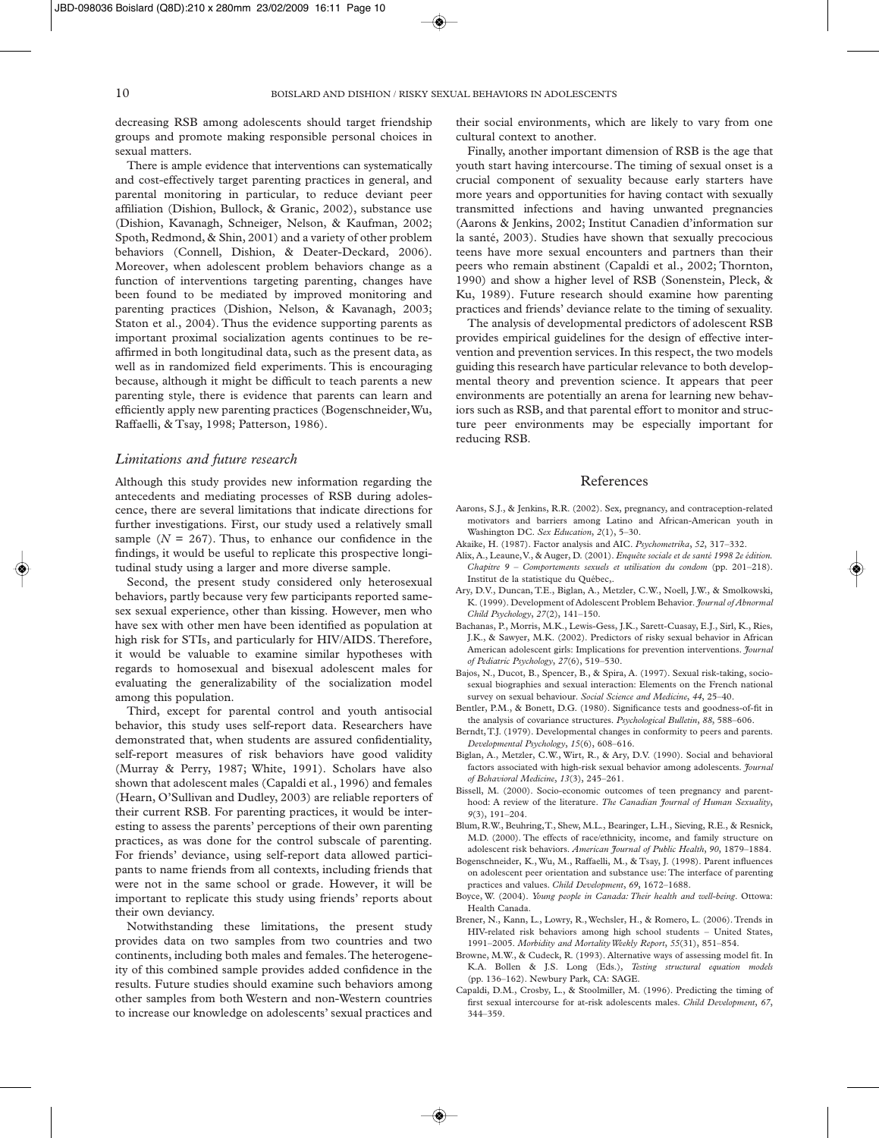decreasing RSB among adolescents should target friendship groups and promote making responsible personal choices in sexual matters.

There is ample evidence that interventions can systematically and cost-effectively target parenting practices in general, and parental monitoring in particular, to reduce deviant peer affiliation (Dishion, Bullock, & Granic, 2002), substance use (Dishion, Kavanagh, Schneiger, Nelson, & Kaufman, 2002; Spoth, Redmond, & Shin, 2001) and a variety of other problem behaviors (Connell, Dishion, & Deater-Deckard, 2006). Moreover, when adolescent problem behaviors change as a function of interventions targeting parenting, changes have been found to be mediated by improved monitoring and parenting practices (Dishion, Nelson, & Kavanagh, 2003; Staton et al., 2004). Thus the evidence supporting parents as important proximal socialization agents continues to be reaffirmed in both longitudinal data, such as the present data, as well as in randomized field experiments. This is encouraging because, although it might be difficult to teach parents a new parenting style, there is evidence that parents can learn and efficiently apply new parenting practices (Bogenschneider, Wu, Raffaelli, & Tsay, 1998; Patterson, 1986).

## *Limitations and future research*

Although this study provides new information regarding the antecedents and mediating processes of RSB during adolescence, there are several limitations that indicate directions for further investigations. First, our study used a relatively small sample  $(N = 267)$ . Thus, to enhance our confidence in the findings, it would be useful to replicate this prospective longitudinal study using a larger and more diverse sample.

Second, the present study considered only heterosexual behaviors, partly because very few participants reported samesex sexual experience, other than kissing. However, men who have sex with other men have been identified as population at high risk for STIs, and particularly for HIV/AIDS. Therefore, it would be valuable to examine similar hypotheses with regards to homosexual and bisexual adolescent males for evaluating the generalizability of the socialization model among this population.

Third, except for parental control and youth antisocial behavior, this study uses self-report data. Researchers have demonstrated that, when students are assured confidentiality, self-report measures of risk behaviors have good validity (Murray & Perry, 1987; White, 1991). Scholars have also shown that adolescent males (Capaldi et al., 1996) and females (Hearn, O'Sullivan and Dudley, 2003) are reliable reporters of their current RSB. For parenting practices, it would be interesting to assess the parents' perceptions of their own parenting practices, as was done for the control subscale of parenting. For friends' deviance, using self-report data allowed participants to name friends from all contexts, including friends that were not in the same school or grade. However, it will be important to replicate this study using friends' reports about their own deviancy.

Notwithstanding these limitations, the present study provides data on two samples from two countries and two continents, including both males and females. The heterogeneity of this combined sample provides added confidence in the results. Future studies should examine such behaviors among other samples from both Western and non-Western countries to increase our knowledge on adolescents' sexual practices and their social environments, which are likely to vary from one cultural context to another.

Finally, another important dimension of RSB is the age that youth start having intercourse. The timing of sexual onset is a crucial component of sexuality because early starters have more years and opportunities for having contact with sexually transmitted infections and having unwanted pregnancies (Aarons & Jenkins, 2002; Institut Canadien d'information sur la santé, 2003). Studies have shown that sexually precocious teens have more sexual encounters and partners than their peers who remain abstinent (Capaldi et al., 2002; Thornton, 1990) and show a higher level of RSB (Sonenstein, Pleck, & Ku, 1989). Future research should examine how parenting practices and friends' deviance relate to the timing of sexuality.

The analysis of developmental predictors of adolescent RSB provides empirical guidelines for the design of effective intervention and prevention services. In this respect, the two models guiding this research have particular relevance to both developmental theory and prevention science. It appears that peer environments are potentially an arena for learning new behaviors such as RSB, and that parental effort to monitor and structure peer environments may be especially important for reducing RSB.

## References

- Aarons, S.J., & Jenkins, R.R. (2002). Sex, pregnancy, and contraception-related motivators and barriers among Latino and African-American youth in Washington DC. *Sex Education*, *2*(1), 5–30.
- Akaike, H. (1987). Factor analysis and AIC. *Psychometrika*, *52*, 317–332.
- Alix, A., Leaune, V., & Auger, D. (2001). *Enquête sociale et de santé 1998 2e édition. Chapitre 9 – Comportements sexuels et utilisation du condom* (pp. 201–218). Institut de la statistique du Québec,.
- Ary, D.V., Duncan, T.E., Biglan, A., Metzler, C.W., Noell, J.W., & Smolkowski, K. (1999). Development of Adolescent Problem Behavior. *Journal of Abnormal Child Psychology*, *27*(2), 141–150.
- Bachanas, P., Morris, M.K., Lewis-Gess, J.K., Sarett-Cuasay, E.J., Sirl, K., Ries, J.K., & Sawyer, M.K. (2002). Predictors of risky sexual behavior in African American adolescent girls: Implications for prevention interventions. *Journal of Pediatric Psychology*, *27*(6), 519–530.
- Bajos, N., Ducot, B., Spencer, B., & Spira, A. (1997). Sexual risk-taking, sociosexual biographies and sexual interaction: Elements on the French national survey on sexual behaviour. *Social Science and Medicine*, *44*, 25–40.
- Bentler, P.M., & Bonett, D.G. (1980). Significance tests and goodness-of-fit in the analysis of covariance structures. *Psychological Bulletin*, *88*, 588–606.
- Berndt, T.J. (1979). Developmental changes in conformity to peers and parents. *Developmental Psychology*, *15*(6), 608–616.
- Biglan, A., Metzler, C.W., Wirt, R., & Ary, D.V. (1990). Social and behavioral factors associated with high-risk sexual behavior among adolescents. *Journal of Behavioral Medicine*, *13*(3), 245–261.
- Bissell, M. (2000). Socio-economic outcomes of teen pregnancy and parenthood: A review of the literature. *The Canadian Journal of Human Sexuality*, *9*(3), 191–204.
- Blum, R.W., Beuhring,T., Shew, M.L., Bearinger, L.H., Sieving, R.E., & Resnick, M.D. (2000). The effects of race/ethnicity, income, and family structure on adolescent risk behaviors. *American Journal of Public Health*, *90*, 1879–1884.
- Bogenschneider, K., Wu, M., Raffaelli, M., & Tsay, J. (1998). Parent influences on adolescent peer orientation and substance use: The interface of parenting practices and values. *Child Development*, *69*, 1672–1688.
- Boyce, W. (2004). *Young people in Canada: Their health and well-being*. Ottowa: Health Canada.
- Brener, N., Kann, L., Lowry, R., Wechsler, H., & Romero, L. (2006). Trends in HIV-related risk behaviors among high school students – United States, 1991–2005. *Morbidity and Mortality Weekly Report*, *55*(31), 851–854.
- Browne, M.W., & Cudeck, R. (1993). Alternative ways of assessing model fit. In K.A. Bollen & J.S. Long (Eds.), *Testing structural equation models* (pp. 136–162). Newbury Park, CA: SAGE.
- Capaldi, D.M., Crosby, L., & Stoolmiller, M. (1996). Predicting the timing of first sexual intercourse for at-risk adolescents males. *Child Development*, *67*, 344–359.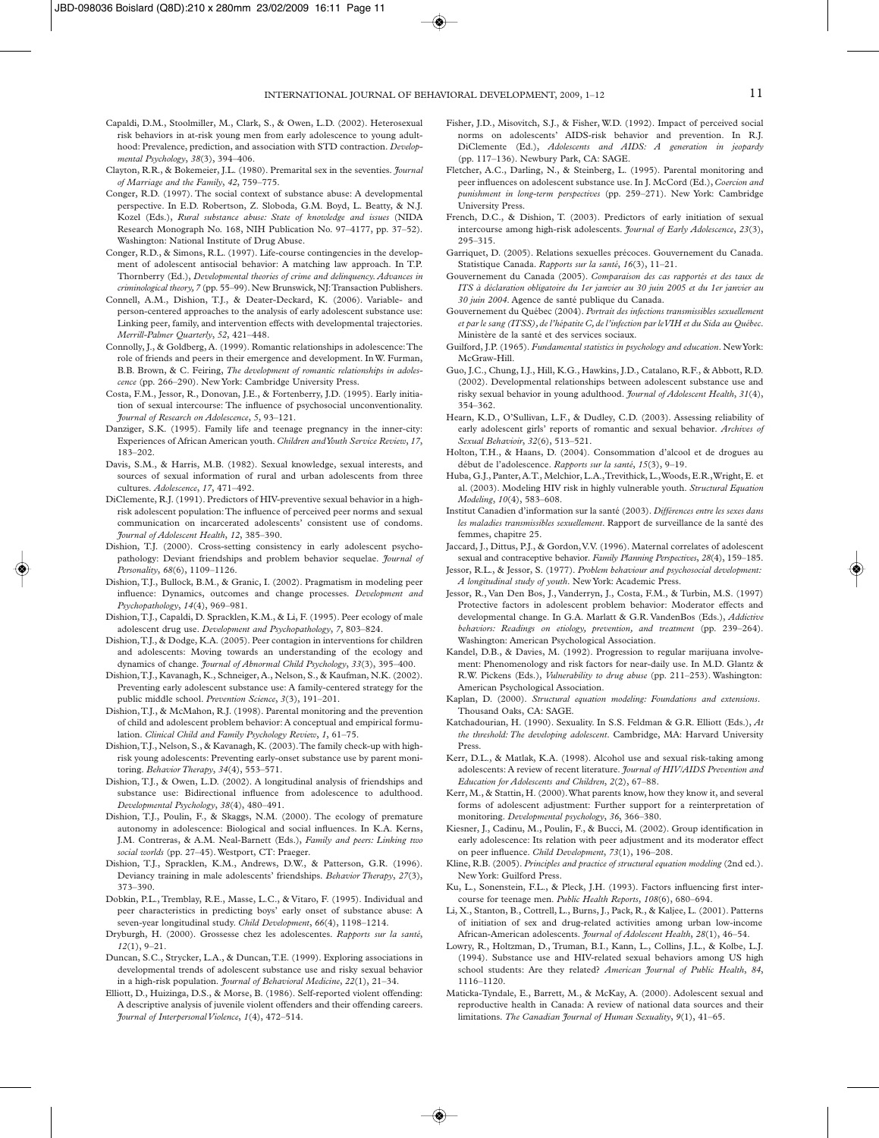- Capaldi, D.M., Stoolmiller, M., Clark, S., & Owen, L.D. (2002). Heterosexual risk behaviors in at-risk young men from early adolescence to young adulthood: Prevalence, prediction, and association with STD contraction. *Developmental Psychology*, *38*(3), 394–406.
- Clayton, R.R., & Bokemeier, J.L. (1980). Premarital sex in the seventies. *Journal of Marriage and the Family*, *42*, 759–775.
- Conger, R.D. (1997). The social context of substance abuse: A developmental perspective. In E.D. Robertson, Z. Sloboda, G.M. Boyd, L. Beatty, & N.J. Kozel (Eds.), *Rural substance abuse: State of knowledge and issues* (NIDA Research Monograph No. 168, NIH Publication No. 97–4177, pp. 37–52). Washington: National Institute of Drug Abuse.
- Conger, R.D., & Simons, R.L. (1997). Life-course contingencies in the development of adolescent antisocial behavior: A matching law approach. In T.P. Thornberry (Ed.), *Developmental theories of crime and delinquency. Advances in criminological theory,7* (pp. 55–99). New Brunswick, NJ:Transaction Publishers.
- Connell, A.M., Dishion, T.J., & Deater-Deckard, K. (2006). Variable- and person-centered approaches to the analysis of early adolescent substance use: Linking peer, family, and intervention effects with developmental trajectories. *Merrill-Palmer Quarterly*, *52*, 421–448.
- Connolly, J., & Goldberg, A. (1999). Romantic relationships in adolescence: The role of friends and peers in their emergence and development. In W. Furman, B.B. Brown, & C. Feiring, *The development of romantic relationships in adolescence* (pp. 266–290). New York: Cambridge University Press.
- Costa, F.M., Jessor, R., Donovan, J.E., & Fortenberry, J.D. (1995). Early initiation of sexual intercourse: The influence of psychosocial unconventionality. *Journal of Research on Adolescence*, *5*, 93–121.
- Danziger, S.K. (1995). Family life and teenage pregnancy in the inner-city: Experiences of African American youth. *Children and Youth Service Review*, *17*, 183–202.
- Davis, S.M., & Harris, M.B. (1982). Sexual knowledge, sexual interests, and sources of sexual information of rural and urban adolescents from three cultures. *Adolescence*, *17*, 471–492.
- DiClemente, R.J. (1991). Predictors of HIV-preventive sexual behavior in a highrisk adolescent population: The influence of perceived peer norms and sexual communication on incarcerated adolescents' consistent use of condoms. *Journal of Adolescent Health*, *12*, 385–390.
- Dishion, T.J. (2000). Cross-setting consistency in early adolescent psychopathology: Deviant friendships and problem behavior sequelae. *Journal of Personality*, *68*(6), 1109–1126.
- Dishion, T.J., Bullock, B.M., & Granic, I. (2002). Pragmatism in modeling peer influence: Dynamics, outcomes and change processes. *Development and Psychopathology*, *14*(4), 969–981.
- Dishion, T.J., Capaldi, D. Spracklen, K.M., & Li, F. (1995). Peer ecology of male adolescent drug use. *Development and Psychopathology*, *7*, 803–824.
- Dishion, T.J., & Dodge, K.A. (2005). Peer contagion in interventions for children and adolescents: Moving towards an understanding of the ecology and dynamics of change. *Journal of Abnormal Child Psychology*, *33*(3), 395–400.
- Dishion, T.J., Kavanagh, K., Schneiger, A., Nelson, S., & Kaufman, N.K. (2002). Preventing early adolescent substance use: A family-centered strategy for the public middle school. *Prevention Science*, *3*(3), 191–201.
- Dishion, T.J., & McMahon, R.J. (1998). Parental monitoring and the prevention of child and adolescent problem behavior: A conceptual and empirical formulation. *Clinical Child and Family Psychology Review*, *1*, 61–75.
- Dishion, T.J., Nelson, S., & Kavanagh, K. (2003). The family check-up with highrisk young adolescents: Preventing early-onset substance use by parent monitoring. *Behavior Therapy*, *34*(4), 553–571.
- Dishion, T.J., & Owen, L.D. (2002). A longitudinal analysis of friendships and substance use: Bidirectional influence from adolescence to adulthood. *Developmental Psychology*, *38*(4), 480–491.
- Dishion, T.J., Poulin, F., & Skaggs, N.M. (2000). The ecology of premature autonomy in adolescence: Biological and social influences. In K.A. Kerns, J.M. Contreras, & A.M. Neal-Barnett (Eds.), *Family and peers: Linking two social worlds* (pp. 27–45). Westport, CT: Praeger.
- Dishion, T.J., Spracklen, K.M., Andrews, D.W., & Patterson, G.R. (1996). Deviancy training in male adolescents' friendships. *Behavior Therapy*, *27*(3), 373–390.
- Dobkin, P.L., Tremblay, R.E., Masse, L.C., & Vitaro, F. (1995). Individual and peer characteristics in predicting boys' early onset of substance abuse: A seven-year longitudinal study. *Child Development*, *66*(4), 1198–1214.
- Dryburgh, H. (2000). Grossesse chez les adolescentes. *Rapports sur la santé*, *12*(1), 9–21.
- Duncan, S.C., Strycker, L.A., & Duncan, T.E. (1999). Exploring associations in developmental trends of adolescent substance use and risky sexual behavior in a high-risk population. *Journal of Behavioral Medicine*, *22*(1), 21–34.
- Elliott, D., Huizinga, D.S., & Morse, B. (1986). Self-reported violent offending: A descriptive analysis of juvenile violent offenders and their offending careers. *Journal of Interpersonal Violence*, *1*(4), 472–514.
- Fisher, J.D., Misovitch, S.J., & Fisher, W.D. (1992). Impact of perceived social norms on adolescents' AIDS-risk behavior and prevention. In R.J. DiClemente (Ed.), *Adolescents and AIDS: A generation in jeopardy* (pp. 117–136). Newbury Park, CA: SAGE.
- Fletcher, A.C., Darling, N., & Steinberg, L. (1995). Parental monitoring and peer influences on adolescent substance use. In J. McCord (Ed.), *Coercion and punishment in long-term perspectives* (pp. 259–271). New York: Cambridge University Press.
- French, D.C., & Dishion, T. (2003). Predictors of early initiation of sexual intercourse among high-risk adolescents. *Journal of Early Adolescence*, *23*(3), 295–315.
- Garriquet, D. (2005). Relations sexuelles précoces. Gouvernement du Canada. Statistique Canada. *Rapports sur la santé*, *16*(3), 11–21.
- Gouvernement du Canada (2005). *Comparaison des cas rapportés et des taux de ITS à déclaration obligatoire du 1er janvier au 30 juin 2005 et du 1er janvier au 30 juin 2004*. Agence de santé publique du Canada.
- Gouvernement du Québec (2004). *Portrait des infections transmissibles sexuellement et par le sang (ITSS), de l'hépatite C, de l'infection par le VIH et du Sida au Québec*. Ministère de la santé et des services sociaux.
- Guilford, J.P. (1965). *Fundamental statistics in psychology and education*. New York: McGraw-Hill.
- Guo, J.C., Chung, I.J., Hill, K.G., Hawkins, J.D., Catalano, R.F., & Abbott, R.D. (2002). Developmental relationships between adolescent substance use and risky sexual behavior in young adulthood. *Journal of Adolescent Health*, *31*(4), 354–362.
- Hearn, K.D., O'Sullivan, L.F., & Dudley, C.D. (2003). Assessing reliability of early adolescent girls' reports of romantic and sexual behavior. *Archives of Sexual Behavioir*, *32*(6), 513–521.
- Holton, T.H., & Haans, D. (2004). Consommation d'alcool et de drogues au début de l'adolescence. *Rapports sur la santé*, *15*(3), 9–19.
- Huba, G.J., Panter,A.T., Melchior, L.A.,Trevithick, L.,Woods, E.R.,Wright, E. et al. (2003). Modeling HIV risk in highly vulnerable youth. *Structural Equation Modeling*, *10*(4), 583–608.
- Institut Canadien d'information sur la santé (2003). *Différences entre les sexes dans les maladies transmissibles sexuellement*. Rapport de surveillance de la santé des femmes, chapitre 25.
- Jaccard, J., Dittus, P.J., & Gordon, V.V. (1996). Maternal correlates of adolescent sexual and contraceptive behavior. *Family Planning Perspectives*, *28*(4), 159–185.
- Jessor, R.L., & Jessor, S. (1977). *Problem behaviour and psychosocial development: A longitudinal study of youth*. New York: Academic Press.
- Jessor, R., Van Den Bos, J., Vanderryn, J., Costa, F.M., & Turbin, M.S. (1997) Protective factors in adolescent problem behavior: Moderator effects and developmental change. In G.A. Marlatt & G.R. VandenBos (Eds.), *Addictive behaviors: Readings on etiology, prevention, and treatment* (pp. 239–264). Washington: American Psychological Association.
- Kandel, D.B., & Davies, M. (1992). Progression to regular marijuana involvement: Phenomenology and risk factors for near-daily use. In M.D. Glantz & R.W. Pickens (Eds.), *Vulnerability to drug abuse* (pp. 211–253). Washington: American Psychological Association.
- Kaplan, D. (2000). *Structural equation modeling: Foundations and extensions*. Thousand Oaks, CA: SAGE.
- Katchadourian, H. (1990). Sexuality. In S.S. Feldman & G.R. Elliott (Eds.), *At the threshold: The developing adolescent*. Cambridge, MA: Harvard University Press.
- Kerr, D.L., & Matlak, K.A. (1998). Alcohol use and sexual risk-taking among adolescents: A review of recent literature. *Journal of HIV/AIDS Prevention and Education for Adolescents and Children*, *2*(2), 67–88.
- Kerr, M., & Stattin, H. (2000). What parents know, how they know it, and several forms of adolescent adjustment: Further support for a reinterpretation of monitoring. *Developmental psychology*, *36*, 366–380.
- Kiesner, J., Cadinu, M., Poulin, F., & Bucci, M. (2002). Group identification in early adolescence: Its relation with peer adjustment and its moderator effect on peer influence. *Child Development*, *73*(1), 196–208.
- Kline, R.B. (2005). *Principles and practice of structural equation modeling* (2nd ed.). New York: Guilford Press.
- Ku, L., Sonenstein, F.L., & Pleck, J.H. (1993). Factors influencing first intercourse for teenage men. *Public Health Reports*, *108*(6), 680–694.
- Li, X., Stanton, B., Cottrell, L., Burns, J., Pack, R., & Kaljee, L. (2001). Patterns of initiation of sex and drug-related activities among urban low-income African-American adolescents. *Journal of Adolescent Health*, *28*(1), 46–54.
- Lowry, R., Holtzman, D., Truman, B.I., Kann, L., Collins, J.L., & Kolbe, L.J. (1994). Substance use and HIV-related sexual behaviors among US high school students: Are they related? *American Journal of Public Health*, *84*, 1116–1120.
- Maticka-Tyndale, E., Barrett, M., & McKay, A. (2000). Adolescent sexual and reproductive health in Canada: A review of national data sources and their limitations. *The Canadian Journal of Human Sexuality*, *9*(1), 41–65.